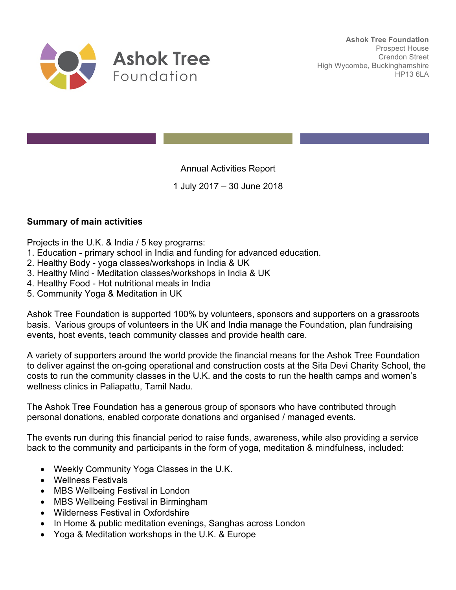

Annual Activities Report

1 July 2017 – 30 June 2018

# **Summary of main activities**

Projects in the U.K. & India / 5 key programs:

- 1. Education primary school in India and funding for advanced education.
- 2. Healthy Body yoga classes/workshops in India & UK
- 3. Healthy Mind Meditation classes/workshops in India & UK
- 4. Healthy Food Hot nutritional meals in India
- 5. Community Yoga & Meditation in UK

Ashok Tree Foundation is supported 100% by volunteers, sponsors and supporters on a grassroots basis. Various groups of volunteers in the UK and India manage the Foundation, plan fundraising events, host events, teach community classes and provide health care.

A variety of supporters around the world provide the financial means for the Ashok Tree Foundation to deliver against the on-going operational and construction costs at the Sita Devi Charity School, the costs to run the community classes in the U.K. and the costs to run the health camps and women's wellness clinics in Paliapattu, Tamil Nadu.

The Ashok Tree Foundation has a generous group of sponsors who have contributed through personal donations, enabled corporate donations and organised / managed events.

The events run during this financial period to raise funds, awareness, while also providing a service back to the community and participants in the form of yoga, meditation & mindfulness, included:

- Weekly Community Yoga Classes in the U.K.
- Wellness Festivals
- MBS Wellbeing Festival in London
- MBS Wellbeing Festival in Birmingham
- Wilderness Festival in Oxfordshire
- In Home & public meditation evenings, Sanghas across London
- Yoga & Meditation workshops in the U.K. & Europe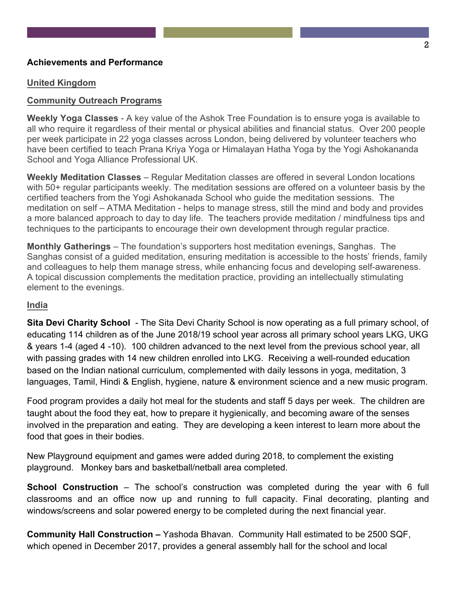## **Achievements and Performance**

## **United Kingdom**

## **Community Outreach Programs**

**Weekly Yoga Classes** - A key value of the Ashok Tree Foundation is to ensure yoga is available to all who require it regardless of their mental or physical abilities and financial status. Over 200 people per week participate in 22 yoga classes across London, being delivered by volunteer teachers who have been certified to teach Prana Kriya Yoga or Himalayan Hatha Yoga by the Yogi Ashokananda School and Yoga Alliance Professional UK.

**Weekly Meditation Classes** – Regular Meditation classes are offered in several London locations with 50+ regular participants weekly. The meditation sessions are offered on a volunteer basis by the certified teachers from the Yogi Ashokanada School who guide the meditation sessions. The meditation on self – ATMA Meditation - helps to manage stress, still the mind and body and provides a more balanced approach to day to day life. The teachers provide meditation / mindfulness tips and techniques to the participants to encourage their own development through regular practice.

**Monthly Gatherings** – The foundation's supporters host meditation evenings, Sanghas. The Sanghas consist of a guided meditation, ensuring meditation is accessible to the hosts' friends, family and colleagues to help them manage stress, while enhancing focus and developing self-awareness. A topical discussion complements the meditation practice, providing an intellectually stimulating element to the evenings.

### **India**

**Sita Devi Charity School** - The Sita Devi Charity School is now operating as a full primary school, of educating 114 children as of the June 2018/19 school year across all primary school years LKG, UKG & years 1-4 (aged 4 -10). 100 children advanced to the next level from the previous school year, all with passing grades with 14 new children enrolled into LKG. Receiving a well-rounded education based on the Indian national curriculum, complemented with daily lessons in yoga, meditation, 3 languages, Tamil, Hindi & English, hygiene, nature & environment science and a new music program.

Food program provides a daily hot meal for the students and staff 5 days per week. The children are taught about the food they eat, how to prepare it hygienically, and becoming aware of the senses involved in the preparation and eating. They are developing a keen interest to learn more about the food that goes in their bodies.

New Playground equipment and games were added during 2018, to complement the existing playground. Monkey bars and basketball/netball area completed.

**School Construction** – The school's construction was completed during the year with 6 full classrooms and an office now up and running to full capacity. Final decorating, planting and windows/screens and solar powered energy to be completed during the next financial year.

**Community Hall Construction –** Yashoda Bhavan. Community Hall estimated to be 2500 SQF, which opened in December 2017, provides a general assembly hall for the school and local